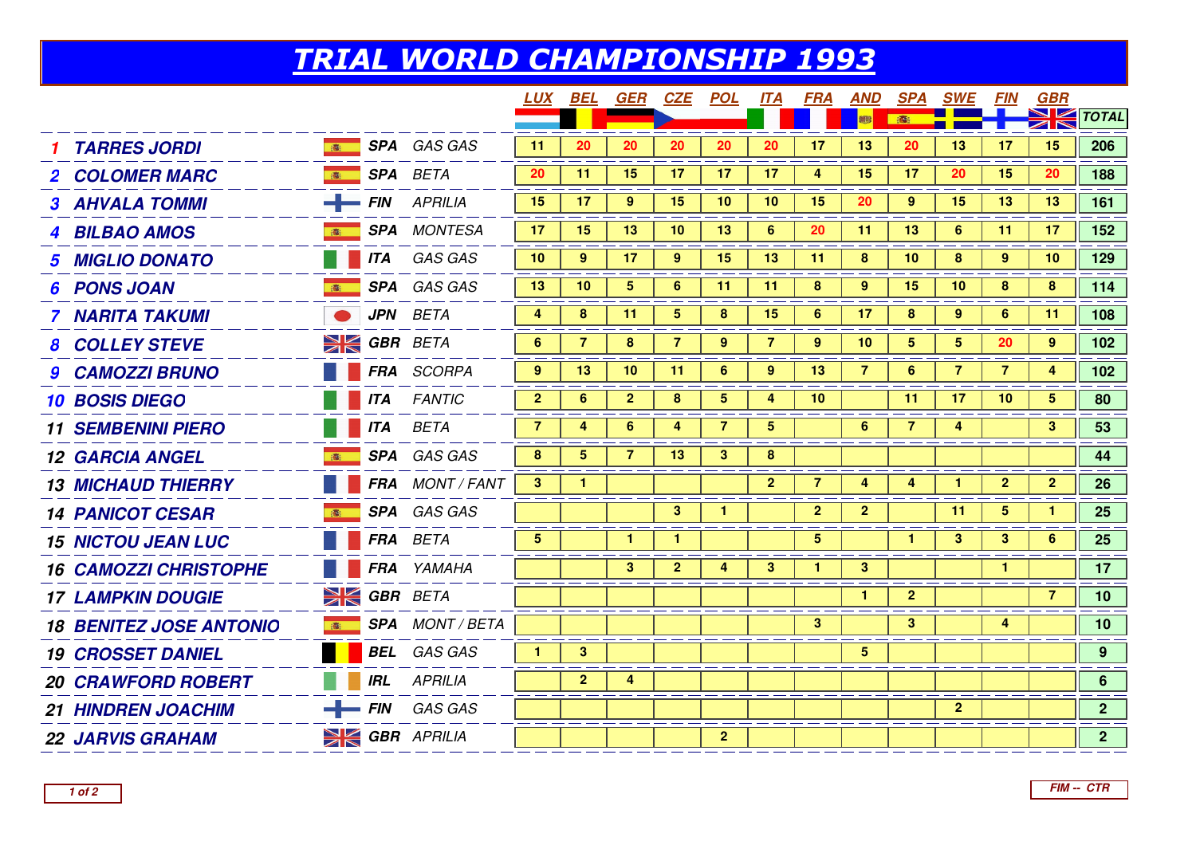## TRIAL WORLD CHAMPIONSHIP 1993

|                                                               | LUX            | BEL             | GER                  | CZE            | <u>POL</u>      | <b>ITA</b>     | <b>FRA</b>      | <b>AND</b>      |                | <b>SPA SWE</b> | <i>FIN</i>     | <b>GBR</b>            |                |
|---------------------------------------------------------------|----------------|-----------------|----------------------|----------------|-----------------|----------------|-----------------|-----------------|----------------|----------------|----------------|-----------------------|----------------|
|                                                               |                |                 |                      |                |                 |                |                 | 霉               | 春              |                |                | $\blacktriangleright$ | $\sim$ TOTAL   |
| <b>SPA</b> GAS GAS<br><b>TARRES JORDI</b>                     | 11             | 20              | 20                   | 20             | 20              | 20             | 17              | 13              | 20             | 13             | 17             | 15                    | 206            |
| <b>SPA</b> BETA<br><b>2 COLOMER MARC</b>                      | 20             | 11              | 15                   | 17             | 17 <sub>2</sub> | 17             | 4               | 15              | 17             | 20             | 15             | 20                    | 188            |
| $FIN$ APRILIA<br><b>3 AHVALA TOMMI</b>                        | 15             | 17              | 9                    | 15             | 10 <sub>1</sub> | 10             | 15              | 20              | 9 <sup>°</sup> | 15             | 13             | 13                    | 161            |
| <b>SPA</b> MONTESA<br><b>4 BILBAO AMOS</b>                    | 17             | 15              | 13                   | 10             | 13              | 6              | 20              | 11              | 13             | 6              | 11             | 17                    | 152            |
| <b>ITA</b> GAS GAS<br><b>MIGLIO DONATO</b>                    | 10             | 9               | 17                   | 9              | 15              | 13             | 11              | 8               | 10             | 8              | 9              | 10                    | 129            |
| SPA GAS GAS<br><b>PONS JOAN</b><br>高                          | 13             | 10              | 5 <sup>5</sup>       | 6              | 11              | 11             | 8               | $9^{\circ}$     | 15             | 10             | 8              | 8                     | 114            |
| <b>JPN</b> BETA<br>7 NARITA TAKUMI                            | 4              | 8               | 11                   | 5.             | 8               | 15             | 6               | 17              | 8              | 9              | 6              | 11                    | 108            |
| $\geq$ GBR BETA<br><b>8 COLLEY STEVE</b>                      | 6              | $\overline{7}$  | 8                    | $\overline{7}$ | 9               | $\overline{7}$ | 9               | 10 <sup>°</sup> | 5              | 5              | 20             | 9                     | 102            |
| FRA SCORPA<br><b>9 CAMOZZI BRUNO</b>                          | $9^{\circ}$    | 13              | 10                   | 11             | 6               | 9              | 13              | $\overline{7}$  | 6              | $\overline{7}$ | $\overline{7}$ | 4                     | 102            |
| <b>FANTIC</b><br><b>10 BOSIS DIEGO</b><br><b>ITA</b>          | 2 <sub>2</sub> | 6               | $\overline{2}$       | 8              | 5               | 4              | 10              |                 | 11             | 17             | 10             | $5\overline{)}$       | 80             |
| <b>ITA</b><br><b>BETA</b><br><b>11 SEMBENINI PIERO</b>        | $\overline{7}$ | 4               | 6                    | 4              | $\overline{7}$  | 5              |                 | 6               | $\overline{7}$ | 4              |                | 3                     | 53             |
| SPA GAS GAS<br><b>12 GARCIA ANGEL</b>                         | 8              | $5\overline{)}$ | 7                    | 13             | 3               | 8              |                 |                 |                |                |                |                       | 44             |
| FRA MONT / FANT<br><b>13 MICHAUD THIERRY</b>                  | 3 <sup>1</sup> | $\mathbf{1}$    |                      |                |                 | $\mathbf{2}$   | $\overline{7}$  | $\overline{4}$  | 4              | $\mathbf{1}$   | $\overline{2}$ | $\mathbf{2}$          | 26             |
| SPA GAS GAS<br><b>14 PANICOT CESAR</b>                        |                |                 |                      | $\mathbf{3}$   | 1               |                | $\overline{2}$  | $\overline{2}$  |                | 11             | 5              | 1                     | 25             |
| FRA BETA<br><b>15 NICTOU JEAN LUC</b>                         | 5              |                 | $\blacktriangleleft$ | 1.             |                 |                | $5\overline{)}$ |                 | 1.             | $\mathbf{3}$   | 3              | 6                     | 25             |
| FRA YAMAHA<br><b>16 CAMOZZI CHRISTOPHE</b>                    |                |                 | 3 <sup>2</sup>       | 2 <sup>1</sup> | $\overline{4}$  | 3 <sup>2</sup> | $\mathbf{1}$    | $\mathbf{3}$    |                |                | $\mathbf{1}$   |                       | 17             |
| <b>SK GBR BETA</b><br><b>17 LAMPKIN DOUGIE</b>                |                |                 |                      |                |                 |                |                 | $\mathbf{1}$    | 2 <sup>1</sup> |                |                | $\overline{7}$        | 10             |
| <b>SPA</b> MONT / BETA<br><b>18 BENITEZ JOSE ANTONIO</b><br>高 |                |                 |                      |                |                 |                | $\mathbf{3}$    |                 | 3 <sup>2</sup> |                | 4              |                       | 10             |
| <b>BEL</b> GAS GAS<br><b>19 CROSSET DANIEL</b>                | 1.             | 3               |                      |                |                 |                |                 | 5               |                |                |                |                       | 9 <sup>°</sup> |
| <b>IRL</b><br><b>APRILIA</b><br><b>20 CRAWFORD ROBERT</b>     |                | $\mathbf{2}$    | 4                    |                |                 |                |                 |                 |                |                |                |                       | 6              |
| $FIN$ GAS GAS<br><b>21 HINDREN JOACHIM</b>                    |                |                 |                      |                |                 |                |                 |                 |                | 2 <sup>1</sup> |                |                       | 2 <sup>7</sup> |
| <b>SK GBR</b> APRILIA<br><b>22 JARVIS GRAHAM</b>              |                |                 |                      |                | $\mathbf{2}$    |                |                 |                 |                |                |                |                       | 2 <sup>7</sup> |